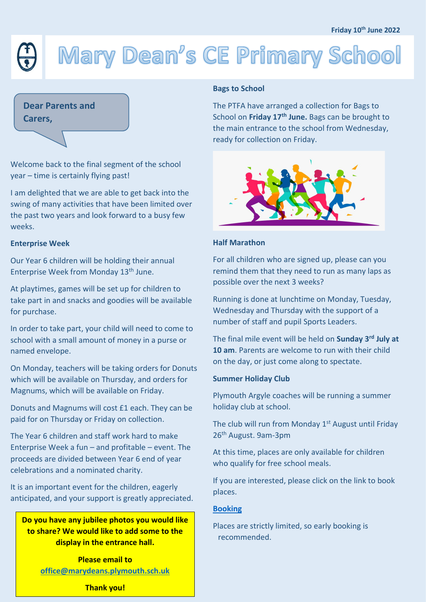# Mary Dean's CE Primary School

## **Dear Parents and**

**Carers,**

Welcome back to the final segment of the school year – time is certainly flying past!

I am delighted that we are able to get back into the swing of many activities that have been limited over the past two years and look forward to a busy few weeks.

#### **Enterprise Week**

Our Year 6 children will be holding their annual Enterprise Week from Monday 13th June.

At playtimes, games will be set up for children to take part in and snacks and goodies will be available for purchase.

In order to take part, your child will need to come to school with a small amount of money in a purse or named envelope.

On Monday, teachers will be taking orders for Donuts which will be available on Thursday, and orders for Magnums, which will be available on Friday.

Donuts and Magnums will cost £1 each. They can be paid for on Thursday or Friday on collection.

The Year 6 children and staff work hard to make Enterprise Week a fun – and profitable – event. The proceeds are divided between Year 6 end of year celebrations and a nominated charity.

It is an important event for the children, eagerly anticipated, and your support is greatly appreciated.

**Do you have any jubilee photos you would like to share? We would like to add some to the display in the entrance hall.**

> **Please email to [office@marydeans.plymouth.sch.uk](mailto:office@marydeans.plymouth.sch.uk)**

#### **Bags to School**

The PTFA have arranged a collection for Bags to School on **Friday 17th June.** Bags can be brought to the main entrance to the school from Wednesday, ready for collection on Friday.



#### **Half Marathon**

For all children who are signed up, please can you remind them that they need to run as many laps as possible over the next 3 weeks?

Running is done at lunchtime on Monday, Tuesday, Wednesday and Thursday with the support of a number of staff and pupil Sports Leaders.

The final mile event will be held on **Sunday 3rd July at 10 am**. Parents are welcome to run with their child on the day, or just come along to spectate.

#### **Summer Holiday Club**

Plymouth Argyle coaches will be running a summer holiday club at school.

The club will run from Monday  $1<sup>st</sup>$  August until Friday 26<sup>th</sup> August. 9am-3pm

At this time, places are only available for children who qualify for free school meals.

If you are interested, please click on the link to book places.

#### **[Booking](https://www.marydeansprimaryschool.co.uk/newsletters)**

Places are strictly limited, so early booking is recommended.

**Thank you!**